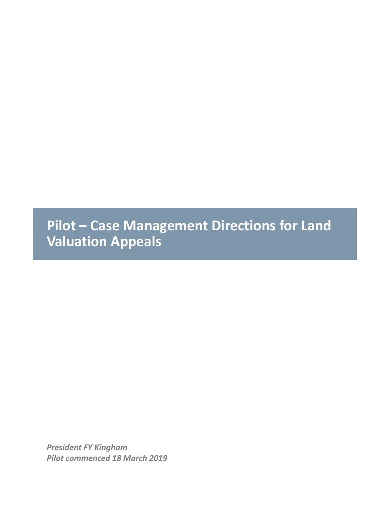**Pilot – Case Management Directions for Land Valuation Appeals**

*President FY Kingham Pilot commenced 18 March 2019*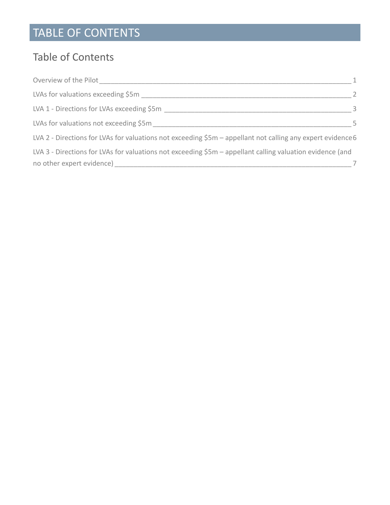# TABLE OF CONTENTS

#### Table of Contents

| Overview of the Pilot                                                                                       |                |
|-------------------------------------------------------------------------------------------------------------|----------------|
| LVAs for valuations exceeding \$5m                                                                          | $\overline{2}$ |
| LVA 1 - Directions for LVAs exceeding \$5m                                                                  | - 3            |
| LVAs for valuations not exceeding \$5m                                                                      | .5.            |
| LVA 2 - Directions for LVAs for valuations not exceeding \$5m - appellant not calling any expert evidence 6 |                |
| LVA 3 - Directions for LVAs for valuations not exceeding \$5m - appellant calling valuation evidence (and   |                |
| no other expert evidence)                                                                                   |                |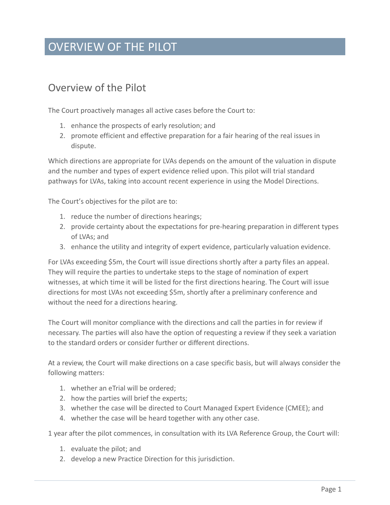#### OVERVIEW OF THE PILOT

#### <span id="page-2-0"></span>Overview of the Pilot

The Court proactively manages all active cases before the Court to:

- 1. enhance the prospects of early resolution; and
- 2. promote efficient and effective preparation for a fair hearing of the real issues in dispute.

Which directions are appropriate for LVAs depends on the amount of the valuation in dispute and the number and types of expert evidence relied upon. This pilot will trial standard pathways for LVAs, taking into account recent experience in using the Model Directions.

The Court's objectives for the pilot are to:

- 1. reduce the number of directions hearings;
- 2. provide certainty about the expectations for pre-hearing preparation in different types of LVAs; and
- 3. enhance the utility and integrity of expert evidence, particularly valuation evidence.

For LVAs exceeding \$5m, the Court will issue directions shortly after a party files an appeal. They will require the parties to undertake steps to the stage of nomination of expert witnesses, at which time it will be listed for the first directions hearing. The Court will issue directions for most LVAs not exceeding \$5m, shortly after a preliminary conference and without the need for a directions hearing.

The Court will monitor compliance with the directions and call the parties in for review if necessary. The parties will also have the option of requesting a review if they seek a variation to the standard orders or consider further or different directions.

At a review, the Court will make directions on a case specific basis, but will always consider the following matters:

- 1. whether an eTrial will be ordered;
- 2. how the parties will brief the experts;
- 3. whether the case will be directed to Court Managed Expert Evidence (CMEE); and
- 4. whether the case will be heard together with any other case.

1 year after the pilot commences, in consultation with its LVA Reference Group, the Court will:

- 1. evaluate the pilot; and
- 2. develop a new Practice Direction for this jurisdiction.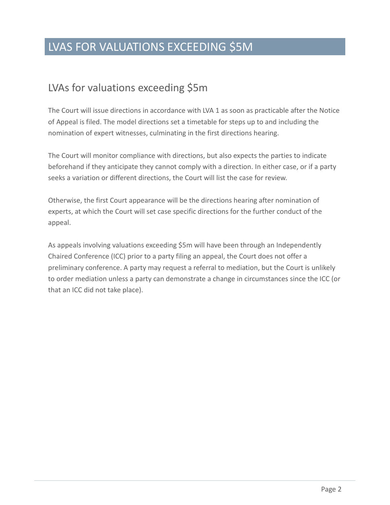### LVAS FOR VALUATIONS EXCEEDING \$5M

#### <span id="page-3-0"></span>LVAs for valuations exceeding \$5m

The Court will issue directions in accordance with LVA 1 as soon as practicable after the Notice of Appeal is filed. The model directions set a timetable for steps up to and including the nomination of expert witnesses, culminating in the first directions hearing.

The Court will monitor compliance with directions, but also expects the parties to indicate beforehand if they anticipate they cannot comply with a direction. In either case, or if a party seeks a variation or different directions, the Court will list the case for review.

Otherwise, the first Court appearance will be the directions hearing after nomination of experts, at which the Court will set case specific directions for the further conduct of the appeal.

As appeals involving valuations exceeding \$5m will have been through an Independently Chaired Conference (ICC) prior to a party filing an appeal, the Court does not offer a preliminary conference. A party may request a referral to mediation, but the Court is unlikely to order mediation unless a party can demonstrate a change in circumstances since the ICC (or that an ICC did not take place).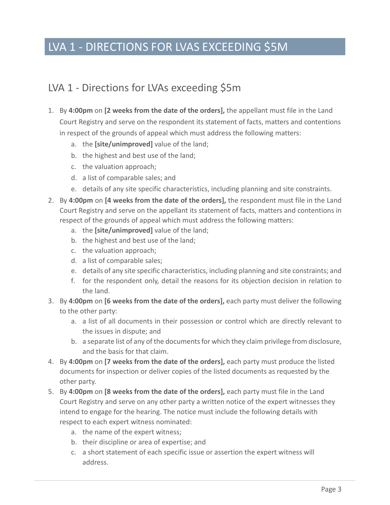### LVA 1 - DIRECTIONS FOR LVAS EXCEEDING \$5M

#### <span id="page-4-0"></span>LVA 1 - Directions for LVAs exceeding \$5m

- 1. By **4:00pm** on **[2 weeks from the date of the orders],** the appellant must file in the Land Court Registry and serve on the respondent its statement of facts, matters and contentions in respect of the grounds of appeal which must address the following matters:
	- a. the **[site/unimproved]** value of the land;
	- b. the highest and best use of the land;
	- c. the valuation approach;
	- d. a list of comparable sales; and
	- e. details of any site specific characteristics, including planning and site constraints.
- 2. By **4:00pm** on **[4 weeks from the date of the orders],** the respondent must file in the Land Court Registry and serve on the appellant its statement of facts, matters and contentions in respect of the grounds of appeal which must address the following matters:
	- a. the **[site/unimproved]** value of the land;
	- b. the highest and best use of the land;
	- c. the valuation approach;
	- d. a list of comparable sales;
	- e. details of any site specific characteristics, including planning and site constraints; and
	- f. for the respondent only, detail the reasons for its objection decision in relation to the land.
- 3. By **4:00pm** on **[6 weeks from the date of the orders],** each party must deliver the following to the other party:
	- a. a list of all documents in their possession or control which are directly relevant to the issues in dispute; and
	- b. a separate list of any of the documents for which they claim privilege from disclosure, and the basis for that claim.
- 4. By **4:00pm** on **[7 weeks from the date of the orders],** each party must produce the listed documents for inspection or deliver copies of the listed documents as requested by the other party.
- 5. By **4:00pm** on **[8 weeks from the date of the orders],** each party must file in the Land Court Registry and serve on any other party a written notice of the expert witnesses they intend to engage for the hearing. The notice must include the following details with respect to each expert witness nominated:
	- a. the name of the expert witness;
	- b. their discipline or area of expertise; and
	- c. a short statement of each specific issue or assertion the expert witness will address.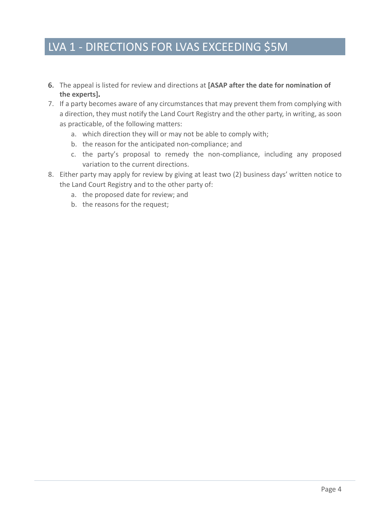### LVA 1 - DIRECTIONS FOR LVAS EXCEEDING \$5M

- 6. The appeal is listed for review and directions at **[ASAP after the date for nomination of the experts].**
- 7. If a party becomes aware of any circumstances that may prevent them from complying with a direction, they must notify the Land Court Registry and the other party, in writing, as soon as practicable, of the following matters:
	- a. which direction they will or may not be able to comply with;
	- b. the reason for the anticipated non-compliance; and
	- c. the party's proposal to remedy the non-compliance, including any proposed variation to the current directions.
- 8. Either party may apply for review by giving at least two (2) business days' written notice to the Land Court Registry and to the other party of:
	- a. the proposed date for review; and
	- b. the reasons for the request;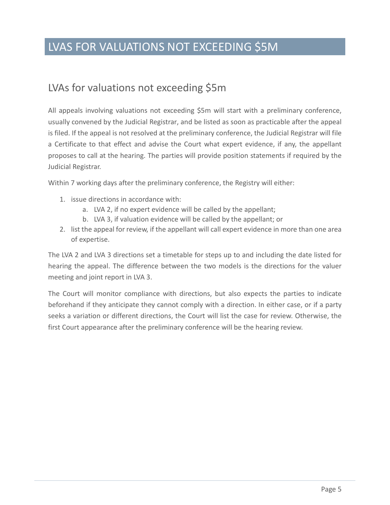### LVAS FOR VALUATIONS NOT EXCEEDING \$5M

#### <span id="page-6-0"></span>LVAs for valuations not exceeding \$5m

All appeals involving valuations not exceeding \$5m will start with a preliminary conference, usually convened by the Judicial Registrar, and be listed as soon as practicable after the appeal is filed. If the appeal is not resolved at the preliminary conference, the Judicial Registrar will file a Certificate to that effect and advise the Court what expert evidence, if any, the appellant proposes to call at the hearing. The parties will provide position statements if required by the Judicial Registrar.

Within 7 working days after the preliminary conference, the Registry will either:

- 1. issue directions in accordance with:
	- a. LVA 2, if no expert evidence will be called by the appellant;
	- b. LVA 3, if valuation evidence will be called by the appellant; or
- 2. list the appeal for review, if the appellant will call expert evidence in more than one area of expertise.

The LVA 2 and LVA 3 directions set a timetable for steps up to and including the date listed for hearing the appeal. The difference between the two models is the directions for the valuer meeting and joint report in LVA 3.

The Court will monitor compliance with directions, but also expects the parties to indicate beforehand if they anticipate they cannot comply with a direction. In either case, or if a party seeks a variation or different directions, the Court will list the case for review. Otherwise, the first Court appearance after the preliminary conference will be the hearing review.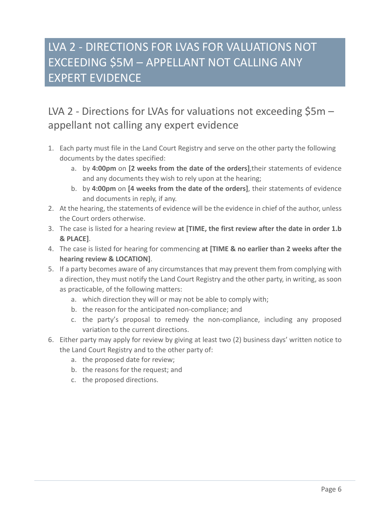# LVA 2 - DIRECTIONS FOR LVAS FOR VALUATIONS NOT EXCEEDING \$5M – APPELLANT NOT CALLING ANY EXPERT EVIDENCE

### <span id="page-7-0"></span>LVA 2 - Directions for LVAs for valuations not exceeding \$5m appellant not calling any expert evidence

- 1. Each party must file in the Land Court Registry and serve on the other party the following documents by the dates specified:
	- a. by **4:00pm** on **[2 weeks from the date of the orders]**,their statements of evidence and any documents they wish to rely upon at the hearing;
	- b. by **4:00pm** on **[4 weeks from the date of the orders]**, their statements of evidence and documents in reply, if any.
- 2. At the hearing, the statements of evidence will be the evidence in chief of the author, unless the Court orders otherwise.
- 3. The case is listed for a hearing review **at [TIME, the first review after the date in order 1.b & PLACE]**.
- 4. The case is listed for hearing for commencing **at [TIME & no earlier than 2 weeks after the hearing review & LOCATION]**.
- 5. If a party becomes aware of any circumstances that may prevent them from complying with a direction, they must notify the Land Court Registry and the other party, in writing, as soon as practicable, of the following matters:
	- a. which direction they will or may not be able to comply with;
	- b. the reason for the anticipated non-compliance; and
	- c. the party's proposal to remedy the non-compliance, including any proposed variation to the current directions.
- 6. Either party may apply for review by giving at least two (2) business days' written notice to the Land Court Registry and to the other party of:
	- a. the proposed date for review;
	- b. the reasons for the request; and
	- c. the proposed directions.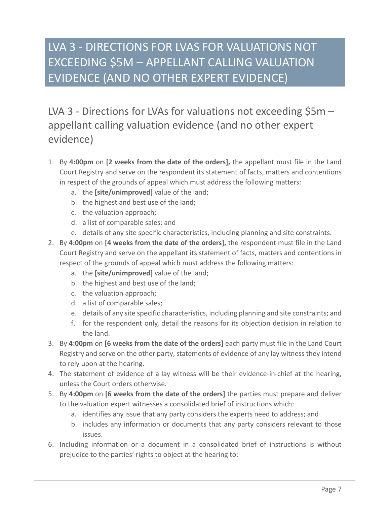# LVA 3 - DIRECTIONS FOR LVAS FOR VALUATIONS NOT EXCEEDING \$5M – APPELLANT CALLING VALUATION EVIDENCE (AND NO OTHER EXPERT EVIDENCE)

<span id="page-8-0"></span>LVA 3 - Directions for LVAs for valuations not exceeding \$5m appellant calling valuation evidence (and no other expert evidence)

- 1. By **4:00pm** on **[2 weeks from the date of the orders],** the appellant must file in the Land Court Registry and serve on the respondent its statement of facts, matters and contentions in respect of the grounds of appeal which must address the following matters:
	- a. the **[site/unimproved]** value of the land;
	- b. the highest and best use of the land;
	- c. the valuation approach;
	- d. a list of comparable sales; and
	- e. details of any site specific characteristics, including planning and site constraints.
- 2. By **4:00pm** on **[4 weeks from the date of the orders],** the respondent must file in the Land Court Registry and serve on the appellant its statement of facts, matters and contentions in respect of the grounds of appeal which must address the following matters:
	- a. the **[site/unimproved]** value of the land;
	- b. the highest and best use of the land;
	- c. the valuation approach;
	- d. a list of comparable sales;
	- e. details of any site specific characteristics, including planning and site constraints; and
	- f. for the respondent only, detail the reasons for its objection decision in relation to the land.
- 3. By **4:00pm** on **[6 weeks from the date of the orders]** each party must file in the Land Court Registry and serve on the other party, statements of evidence of any lay witness they intend to rely upon at the hearing.
- 4. The statement of evidence of a lay witness will be their evidence-in-chief at the hearing, unless the Court orders otherwise.
- 5. By **4:00pm** on **[6 weeks from the date of the orders]** the parties must prepare and deliver to the valuation expert witnesses a consolidated brief of instructions which:
	- a. identifies any issue that any party considers the experts need to address; and
	- b. includes any information or documents that any party considers relevant to those issues.
- 6. Including information or a document in a consolidated brief of instructions is without prejudice to the parties' rights to object at the hearing to: